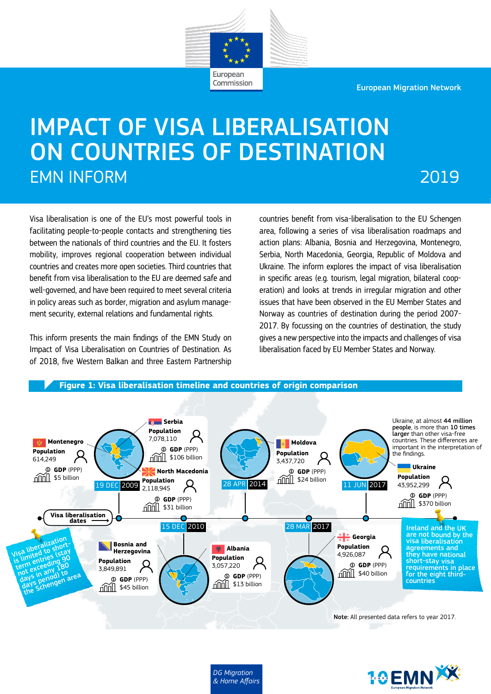European Migration Network



# IMPACT OF VISA LIBERALISATION ON COUNTRIES OF DESTINATION EMN INFORM

## 2019

Visa liberalisation is one of the EU's most powerful tools in facilitating people-to-people contacts and strengthening ties between the nationals of third countries and the EU. It fosters mobility, improves regional cooperation between individual countries and creates more open societies. Third countries that benefit from visa liberalisation to the EU are deemed safe and well-governed, and have been required to meet several criteria in policy areas such as border, migration and asylum management security, external relations and fundamental rights.

This inform presents the main findings of the EMN Study on Impact of Visa Liberalisation on Countries of Destination. As of 2018, five Western Balkan and three Eastern Partnership countries benefit from visa-liberalisation to the EU Schengen area, following a series of visa liberalisation roadmaps and action plans: Albania, Bosnia and Herzegovina, Montenegro, Serbia, North Macedonia, Georgia, Republic of Moldova and Ukraine. The inform explores the impact of visa liberalisation in specific areas (e.g. tourism, legal migration, bilateral cooperation) and looks at trends in irregular migration and other issues that have been observed in the EU Member States and Norway as countries of destination during the period 2007- 2017. By focussing on the countries of destination, the study gives a new perspective into the impacts and challenges of visa liberalisation faced by EU Member States and Norway.



*DG Migration & Home Affairs*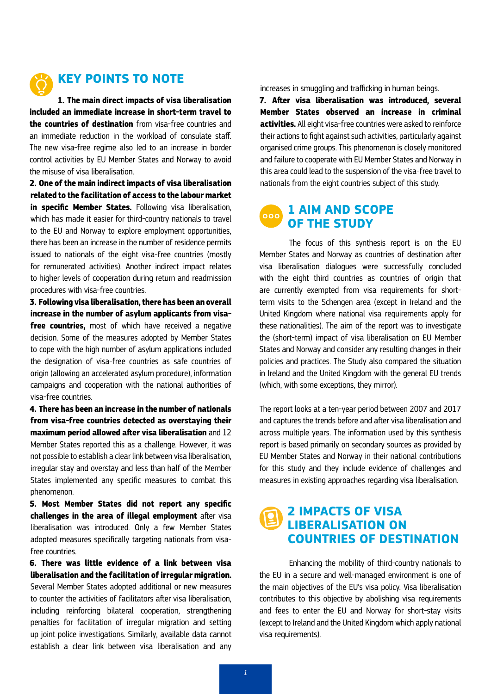

## **KEY POINTS TO NOTE**

**1. The main direct impacts of visa liberalisation included an immediate increase in short-term travel to the countries of destination** from visa-free countries and an immediate reduction in the workload of consulate staff. The new visa-free regime also led to an increase in border control activities by EU Member States and Norway to avoid the misuse of visa liberalisation.

**2. One of the main indirect impacts of visa liberalisation related to the facilitation of access to the labour market in specific Member States.** Following visa liberalisation, which has made it easier for third-country nationals to travel to the EU and Norway to explore employment opportunities, there has been an increase in the number of residence permits issued to nationals of the eight visa-free countries (mostly for remunerated activities). Another indirect impact relates to higher levels of cooperation during return and readmission procedures with visa-free countries.

**3. Following visa liberalisation, there has been an overall increase in the number of asylum applicants from visafree countries,** most of which have received a negative decision. Some of the measures adopted by Member States to cope with the high number of asylum applications included the designation of visa-free countries as safe countries of origin (allowing an accelerated asylum procedure), information campaigns and cooperation with the national authorities of visa-free countries.

**4. There has been an increase in the number of nationals from visa-free countries detected as overstaying their maximum period allowed after visa liberalisation** and 12 Member States reported this as a challenge. However, it was not possible to establish a clear link between visa liberalisation, irregular stay and overstay and less than half of the Member States implemented any specific measures to combat this phenomenon.

**5. Most Member States did not report any specific challenges in the area of illegal employment** after visa liberalisation was introduced. Only a few Member States adopted measures specifically targeting nationals from visafree countries.

**6. There was little evidence of a link between visa liberalisation and the facilitation of irregular migration.**  Several Member States adopted additional or new measures to counter the activities of facilitators after visa liberalisation, including reinforcing bilateral cooperation, strengthening penalties for facilitation of irregular migration and setting up joint police investigations. Similarly, available data cannot establish a clear link between visa liberalisation and any increases in smuggling and trafficking in human beings.

**7. After visa liberalisation was introduced, several Member States observed an increase in criminal activities.** All eight visa-free countries were asked to reinforce their actions to fight against such activities, particularly against organised crime groups. This phenomenon is closely monitored and failure to cooperate with EU Member States and Norway in this area could lead to the suspension of the visa-free travel to nationals from the eight countries subject of this study.

## **1 AIM AND SCOPE OF THE STUDY**

The focus of this synthesis report is on the EU Member States and Norway as countries of destination after visa liberalisation dialogues were successfully concluded with the eight third countries as countries of origin that are currently exempted from visa requirements for shortterm visits to the Schengen area (except in Ireland and the United Kingdom where national visa requirements apply for these nationalities). The aim of the report was to investigate the (short-term) impact of visa liberalisation on EU Member States and Norway and consider any resulting changes in their policies and practices. The Study also compared the situation in Ireland and the United Kingdom with the general EU trends (which, with some exceptions, they mirror).

The report looks at a ten-year period between 2007 and 2017 and captures the trends before and after visa liberalisation and across multiple years. The information used by this synthesis report is based primarily on secondary sources as provided by EU Member States and Norway in their national contributions for this study and they include evidence of challenges and measures in existing approaches regarding visa liberalisation.

## **2 IMPACTS OF VISA LIBERALISATION ON COUNTRIES OF DESTINATION**

Enhancing the mobility of third-country nationals to the EU in a secure and well-managed environment is one of the main objectives of the EU's visa policy. Visa liberalisation contributes to this objective by abolishing visa requirements and fees to enter the EU and Norway for short-stay visits (except to Ireland and the United Kingdom which apply national visa requirements).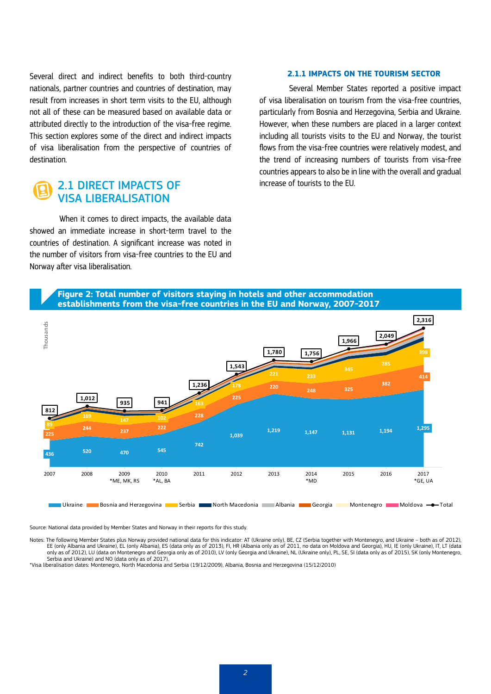Several direct and indirect benefits to both third-country nationals, partner countries and countries of destination, may result from increases in short term visits to the EU, although not all of these can be measured based on available data or attributed directly to the introduction of the visa-free regime. This section explores some of the direct and indirect impacts of visa liberalisation from the perspective of countries of destination.

## 2.1 DIRECT IMPACTS OF VISA LIBERALISATION

When it comes to direct impacts, the available data showed an immediate increase in short-term travel to the countries of destination. A significant increase was noted in the number of visitors from visa-free countries to the EU and Norway after visa liberalisation.

#### **2.1.1 IMPACTS ON THE TOURISM SECTOR**

Several Member States reported a positive impact of visa liberalisation on tourism from the visa-free countries, particularly from Bosnia and Herzegovina, Serbia and Ukraine. However, when these numbers are placed in a larger context including all tourists visits to the EU and Norway, the tourist flows from the visa-free countries were relatively modest, and the trend of increasing numbers of tourists from visa-free countries appears to also be in line with the overall and gradual increase of tourists to the EU.



Source: National data provided by Member States and Norway in their reports for this study.

Notes: The following Member States plus Norway provided national data for this indicator: AT (Ukraine only), BE, CZ (Serbia together with Montenegro, and Ukraine – both as of 2012), EE (only Albania and Ukraine), EL (only Albania), ES (data only as of 2013), FI, HR (Albania only as of 2011, no data on Moldova and Georgia), HU, IE (only Ukraine), IT, LT (data only as of 2012), LU (data on Montenegro and Georgia only as of 2010), LV (only Georgia and Ukraine), NL (Ukraine only), PL, SE, SI (data only as of 2015), SK (only Montenegro, Serbia and Ukraine) and NO (data only as of 2017).

\*Visa liberalisation dates: Montenegro, North Macedonia and Serbia (19/12/2009), Albania, Bosnia and Herzegovina (15/12/2010)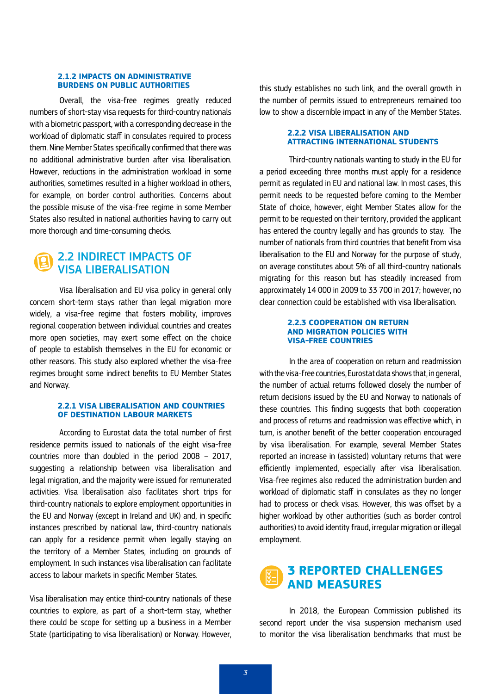#### **2.1.2 IMPACTS ON ADMINISTRATIVE BURDENS ON PUBLIC AUTHORITIES**

Overall, the visa-free regimes greatly reduced numbers of short-stay visa requests for third-country nationals with a biometric passport, with a corresponding decrease in the workload of diplomatic staff in consulates required to process them. Nine Member States specifically confirmed that there was no additional administrative burden after visa liberalisation. However, reductions in the administration workload in some authorities, sometimes resulted in a higher workload in others, for example, on border control authorities. Concerns about the possible misuse of the visa-free regime in some Member States also resulted in national authorities having to carry out more thorough and time-consuming checks.

## 2.2 INDIRECT IMPACTS OF VISA LIBERALISATION

Visa liberalisation and EU visa policy in general only concern short-term stays rather than legal migration more widely, a visa-free regime that fosters mobility, improves regional cooperation between individual countries and creates more open societies, may exert some effect on the choice of people to establish themselves in the EU for economic or other reasons. This study also explored whether the visa-free regimes brought some indirect benefits to EU Member States and Norway.

#### **2.2.1 VISA LIBERALISATION AND COUNTRIES OF DESTINATION LABOUR MARKETS**

According to Eurostat data the total number of first residence permits issued to nationals of the eight visa-free countries more than doubled in the period 2008 – 2017, suggesting a relationship between visa liberalisation and legal migration, and the majority were issued for remunerated activities. Visa liberalisation also facilitates short trips for third-country nationals to explore employment opportunities in the EU and Norway (except in Ireland and UK) and, in specific instances prescribed by national law, third-country nationals can apply for a residence permit when legally staying on the territory of a Member States, including on grounds of employment. In such instances visa liberalisation can facilitate access to labour markets in specific Member States.

Visa liberalisation may entice third-country nationals of these countries to explore, as part of a short-term stay, whether there could be scope for setting up a business in a Member State (participating to visa liberalisation) or Norway. However, this study establishes no such link, and the overall growth in the number of permits issued to entrepreneurs remained too low to show a discernible impact in any of the Member States.

#### **2.2.2 VISA LIBERALISATION AND ATTRACTING INTERNATIONAL STUDENTS**

Third-country nationals wanting to study in the EU for a period exceeding three months must apply for a residence permit as regulated in EU and national law. In most cases, this permit needs to be requested before coming to the Member State of choice, however, eight Member States allow for the permit to be requested on their territory, provided the applicant has entered the country legally and has grounds to stay. The number of nationals from third countries that benefit from visa liberalisation to the EU and Norway for the purpose of study, on average constitutes about 5% of all third-country nationals migrating for this reason but has steadily increased from approximately 14 000 in 2009 to 33 700 in 2017; however, no clear connection could be established with visa liberalisation.

#### **2.2.3 COOPERATION ON RETURN AND MIGRATION POLICIES WITH VISA-FREE COUNTRIES**

In the area of cooperation on return and readmission with the visa-free countries, Eurostat data shows that, in general, the number of actual returns followed closely the number of return decisions issued by the EU and Norway to nationals of these countries. This finding suggests that both cooperation and process of returns and readmission was effective which, in turn, is another benefit of the better cooperation encouraged by visa liberalisation. For example, several Member States reported an increase in (assisted) voluntary returns that were efficiently implemented, especially after visa liberalisation. Visa-free regimes also reduced the administration burden and workload of diplomatic staff in consulates as they no longer had to process or check visas. However, this was offset by a higher workload by other authorities (such as border control authorities) to avoid identity fraud, irregular migration or illegal employment.

## **3 REPORTED CHALLENGES AND MEASURES**

In 2018, the European Commission published its second report under the visa suspension mechanism used to monitor the visa liberalisation benchmarks that must be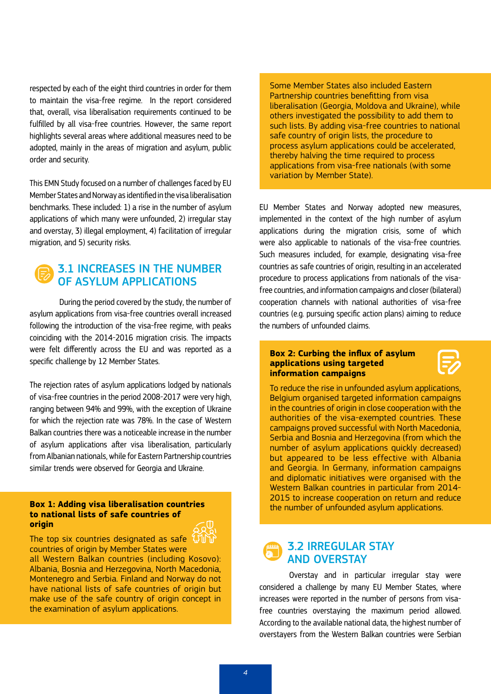respected by each of the eight third countries in order for them to maintain the visa-free regime. In the report considered that, overall, visa liberalisation requirements continued to be fulfilled by all visa-free countries. However, the same report highlights several areas where additional measures need to be adopted, mainly in the areas of migration and asylum, public order and security.

This EMN Study focused on a number of challenges faced by EU Member States and Norway as identified in the visa liberalisation benchmarks. These included: 1) a rise in the number of asylum applications of which many were unfounded, 2) irregular stay and overstay, 3) illegal employment, 4) facilitation of irregular migration, and 5) security risks.

## 3.1 INCREASES IN THE NUMBER OF ASYLUM APPLICATIONS

During the period covered by the study, the number of asylum applications from visa-free countries overall increased following the introduction of the visa-free regime, with peaks coinciding with the 2014-2016 migration crisis. The impacts were felt differently across the EU and was reported as a specific challenge by 12 Member States.

The rejection rates of asylum applications lodged by nationals of visa-free countries in the period 2008-2017 were very high, ranging between 94% and 99%, with the exception of Ukraine for which the rejection rate was 78%. In the case of Western Balkan countries there was a noticeable increase in the number of asylum applications after visa liberalisation, particularly from Albanian nationals, while for Eastern Partnership countries similar trends were observed for Georgia and Ukraine.

#### **Box 1: Adding visa liberalisation countries to national lists of safe countries of origin**

The top six countries designated as safe countries of origin by Member States were all Western Balkan countries (including Kosovo): Albania, Bosnia and Herzegovina, North Macedonia, Montenegro and Serbia. Finland and Norway do not have national lists of safe countries of origin but make use of the safe country of origin concept in the examination of asylum applications.

Some Member States also included Eastern Partnership countries benefitting from visa liberalisation (Georgia, Moldova and Ukraine), while others investigated the possibility to add them to such lists. By adding visa-free countries to national safe country of origin lists, the procedure to process asylum applications could be accelerated, thereby halving the time required to process applications from visa-free nationals (with some variation by Member State).

EU Member States and Norway adopted new measures, implemented in the context of the high number of asylum applications during the migration crisis, some of which were also applicable to nationals of the visa-free countries. Such measures included, for example, designating visa-free countries as safe countries of origin, resulting in an accelerated procedure to process applications from nationals of the visafree countries, and information campaigns and closer (bilateral) cooperation channels with national authorities of visa-free countries (e.g. pursuing specific action plans) aiming to reduce the numbers of unfounded claims.

#### **Box 2: Curbing the influx of asylum applications using targeted information campaigns**



To reduce the rise in unfounded asylum applications, Belgium organised targeted information campaigns in the countries of origin in close cooperation with the authorities of the visa-exempted countries. These campaigns proved successful with North Macedonia, Serbia and Bosnia and Herzegovina (from which the number of asylum applications quickly decreased) but appeared to be less effective with Albania and Georgia. In Germany, information campaigns and diplomatic initiatives were organised with the Western Balkan countries in particular from 2014- 2015 to increase cooperation on return and reduce the number of unfounded asylum applications.

### 3.2 IRREGULAR STAY AND OVERSTAY

Overstay and in particular irregular stay were considered a challenge by many EU Member States, where increases were reported in the number of persons from visafree countries overstaying the maximum period allowed. According to the available national data, the highest number of overstayers from the Western Balkan countries were Serbian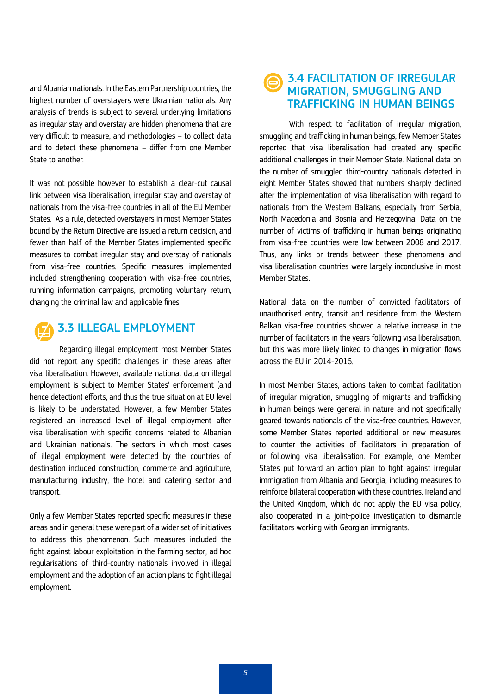and Albanian nationals. In the Eastern Partnership countries, the highest number of overstayers were Ukrainian nationals. Any analysis of trends is subject to several underlying limitations as irregular stay and overstay are hidden phenomena that are very difficult to measure, and methodologies – to collect data and to detect these phenomena – differ from one Member State to another.

It was not possible however to establish a clear-cut causal link between visa liberalisation, irregular stay and overstay of nationals from the visa-free countries in all of the EU Member States. As a rule, detected overstayers in most Member States bound by the Return Directive are issued a return decision, and fewer than half of the Member States implemented specific measures to combat irregular stay and overstay of nationals from visa-free countries. Specific measures implemented included strengthening cooperation with visa-free countries, running information campaigns, promoting voluntary return, changing the criminal law and applicable fines.



## 3.3 ILLEGAL EMPLOYMENT

Regarding illegal employment most Member States did not report any specific challenges in these areas after visa liberalisation. However, available national data on illegal employment is subject to Member States' enforcement (and hence detection) efforts, and thus the true situation at EU level is likely to be understated. However, a few Member States registered an increased level of illegal employment after visa liberalisation with specific concerns related to Albanian and Ukrainian nationals. The sectors in which most cases of illegal employment were detected by the countries of destination included construction, commerce and agriculture, manufacturing industry, the hotel and catering sector and transport.

Only a few Member States reported specific measures in these areas and in general these were part of a wider set of initiatives to address this phenomenon. Such measures included the fight against labour exploitation in the farming sector, ad hoc regularisations of third-country nationals involved in illegal employment and the adoption of an action plans to fight illegal employment.

## 3.4 FACILITATION OF IRREGULAR MIGRATION, SMUGGLING AND TRAFFICKING IN HUMAN BEINGS

With respect to facilitation of irregular migration, smuggling and trafficking in human beings, few Member States reported that visa liberalisation had created any specific additional challenges in their Member State. National data on the number of smuggled third-country nationals detected in eight Member States showed that numbers sharply declined after the implementation of visa liberalisation with regard to nationals from the Western Balkans, especially from Serbia, North Macedonia and Bosnia and Herzegovina. Data on the number of victims of trafficking in human beings originating from visa-free countries were low between 2008 and 2017. Thus, any links or trends between these phenomena and visa liberalisation countries were largely inconclusive in most Member States.

National data on the number of convicted facilitators of unauthorised entry, transit and residence from the Western Balkan visa-free countries showed a relative increase in the number of facilitators in the years following visa liberalisation, but this was more likely linked to changes in migration flows across the EU in 2014-2016.

In most Member States, actions taken to combat facilitation of irregular migration, smuggling of migrants and trafficking in human beings were general in nature and not specifically geared towards nationals of the visa-free countries. However, some Member States reported additional or new measures to counter the activities of facilitators in preparation of or following visa liberalisation. For example, one Member States put forward an action plan to fight against irregular immigration from Albania and Georgia, including measures to reinforce bilateral cooperation with these countries. Ireland and the United Kingdom, which do not apply the EU visa policy, also cooperated in a joint-police investigation to dismantle facilitators working with Georgian immigrants.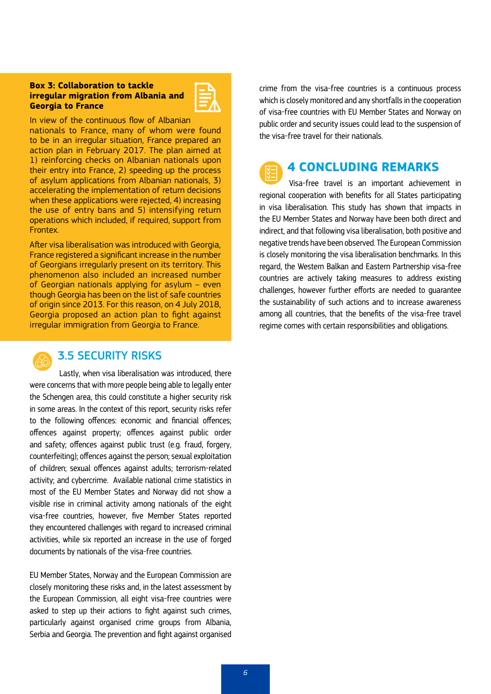#### **Box 3: Collaboration to tackle irregular migration from Albania and Georgia to France**



In view of the continuous flow of Albanian

nationals to France, many of whom were found to be in an irregular situation, France prepared an action plan in February 2017. The plan aimed at 1) reinforcing checks on Albanian nationals upon their entry into France, 2) speeding up the process of asylum applications from Albanian nationals, 3) accelerating the implementation of return decisions when these applications were rejected, 4) increasing the use of entry bans and 5) intensifying return operations which included, if required, support from Frontex.

After visa liberalisation was introduced with Georgia, France registered a significant increase in the number of Georgians irregularly present on its territory. This phenomenon also included an increased number of Georgian nationals applying for asylum – even though Georgia has been on the list of safe countries of origin since 2013. For this reason, on 4 July 2018, Georgia proposed an action plan to fight against irregular immigration from Georgia to France.



#### 3.5 SECURITY RISKS

Lastly, when visa liberalisation was introduced, there were concerns that with more people being able to legally enter the Schengen area, this could constitute a higher security risk in some areas. In the context of this report, security risks refer to the following offences: economic and financial offences; offences against property; offences against public order and safety; offences against public trust (e.g. fraud, forgery, counterfeiting); offences against the person; sexual exploitation of children; sexual offences against adults; terrorism-related activity; and cybercrime. Available national crime statistics in most of the EU Member States and Norway did not show a visible rise in criminal activity among nationals of the eight visa-free countries, however, five Member States reported they encountered challenges with regard to increased criminal activities, while six reported an increase in the use of forged documents by nationals of the visa-free countries.

EU Member States, Norway and the European Commission are closely monitoring these risks and, in the latest assessment by the European Commission, all eight visa-free countries were asked to step up their actions to fight against such crimes, particularly against organised crime groups from Albania, Serbia and Georgia. The prevention and fight against organised crime from the visa-free countries is a continuous process which is closely monitored and any shortfalls in the cooperation of visa-free countries with EU Member States and Norway on public order and security issues could lead to the suspension of the visa-free travel for their nationals.



### **4 CONCLUDING REMARKS**

Visa-free travel is an important achievement in regional cooperation with benefits for all States participating in visa liberalisation. This study has shown that impacts in the EU Member States and Norway have been both direct and indirect, and that following visa liberalisation, both positive and negative trends have been observed. The European Commission is closely monitoring the visa liberalisation benchmarks. In this regard, the Western Balkan and Eastern Partnership visa-free countries are actively taking measures to address existing challenges, however further efforts are needed to guarantee the sustainability of such actions and to increase awareness among all countries, that the benefits of the visa-free travel regime comes with certain responsibilities and obligations.